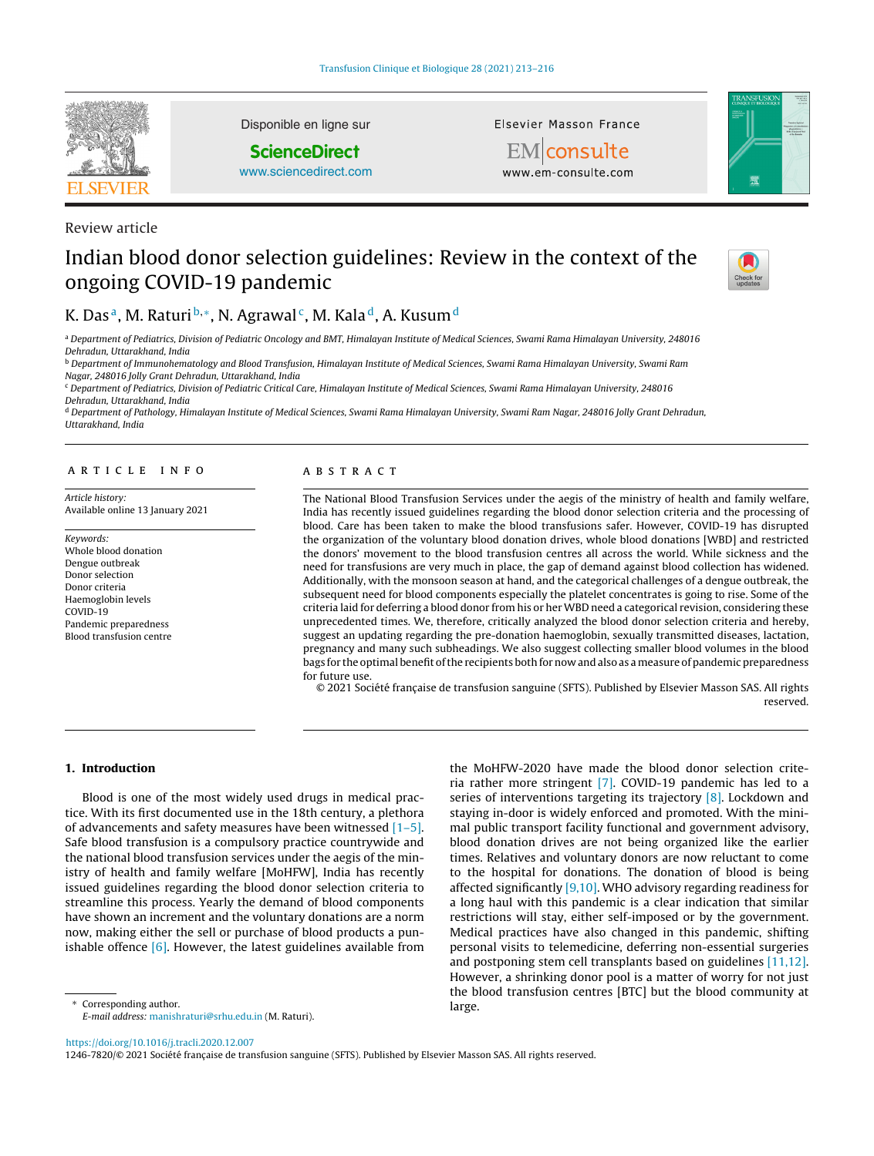

Review article

Disponible en ligne sur

# **ScienceDirect**

[www.sciencedirect.com](http://www.sciencedirect.com/science/journal/12467820)

Elsevier Masson France



**EM** consulte www.em-consulte.com

# Indian blood donor selection guidelines: Review in the context of the ongoing COVID-19 pandemic



# K. Das<sup>a</sup>, M. Raturi<sup>b,\*</sup>, N. Agrawal<sup>c</sup>, M. Kala<sup>d</sup>, A. Kusum<sup>d</sup>

<sup>a</sup> Department of Pediatrics, Division of Pediatric Oncology and BMT, Himalayan Institute of Medical Sciences, Swami Rama Himalayan University, 248016 Dehradun, Uttarakhand, India

**b** Department of Immunohematology and Blood Transfusion, Himalayan Institute of Medical Sciences, Swami Rama Himalayan University, Swami Ram Nagar, 248016 Jolly Grant Dehradun, Uttarakhand, India

<sup>c</sup> Department of Pediatrics, Division of Pediatric Critical Care, Himalayan Institute of Medical Sciences, Swami Rama Himalayan University, 248016 Dehradun, Uttarakhand, India

<sup>d</sup> Department of Pathology, Himalayan Institute of Medical Sciences, Swami Rama Himalayan University, Swami Ram Nagar, 248016 Jolly Grant Dehradun, Uttarakhand, India

# a r t i c l e i n f o

Article history: Available online 13 January 2021

Keywords: Whole blood donation Dengue outbreak Donor selection Donor criteria Haemoglobin levels COVID-19 Pandemic preparedness Blood transfusion centre

### A B S T R A C T

The National Blood Transfusion Services under the aegis of the ministry of health and family welfare, India has recently issued guidelines regarding the blood donor selection criteria and the processing of blood. Care has been taken to make the blood transfusions safer. However, COVID-19 has disrupted the organization of the voluntary blood donation drives, whole blood donations [WBD] and restricted the donors' movement to the blood transfusion centres all across the world. While sickness and the need for transfusions are very much in place, the gap of demand against blood collection has widened. Additionally, with the monsoon season at hand, and the categorical challenges of a dengue outbreak, the subsequent need for blood components especially the platelet concentrates is going to rise. Some of the criteria laid for deferring a blood donor from his or her WBD need a categorical revision, considering these unprecedented times. We, therefore, critically analyzed the blood donor selection criteria and hereby, suggest an updating regarding the pre-donation haemoglobin, sexually transmitted diseases, lactation, pregnancy and many such subheadings. We also suggest collecting smaller blood volumes in the blood bags for the optimal benefit of the recipients both for now and also as a measure of pandemic preparedness for future use.

© 2021 Société française de transfusion sanguine (SFTS). Published by Elsevier Masson SAS. All rights reserved.

# **1. Introduction**

Blood is one of the most widely used drugs in medical practice. With its first documented use in the 18th century, a plethora of advancements and safety measures have been witnessed  $[1-5]$ . Safe blood transfusion is a compulsory practice countrywide and the national blood transfusion services under the aegis of the ministry of health and family welfare [MoHFW], India has recently issued guidelines regarding the blood donor selection criteria to streamline this process. Yearly the demand of blood components have shown an increment and the voluntary donations are a norm now, making either the sell or purchase of blood products a punishable offence [\[6\].](#page-3-0) However, the latest guidelines available from

Corresponding author. E-mail address: [manishraturi@srhu.edu.in](mailto:manishraturi@srhu.edu.in) (M. Raturi). the MoHFW-2020 have made the blood donor selection criteria rather more stringent [\[7\].](#page-3-0) COVID-19 pandemic has led to a series of interventions targeting its trajectory [\[8\].](#page-3-0) Lockdown and staying in-door is widely enforced and promoted. With the minimal public transport facility functional and government advisory, blood donation drives are not being organized like the earlier times. Relatives and voluntary donors are now reluctant to come to the hospital for donations. The donation of blood is being affected significantly [\[9,10\].](#page-3-0) WHO advisory regarding readiness for a long haul with this pandemic is a clear indication that similar restrictions will stay, either self-imposed or by the government. Medical practices have also changed in this pandemic, shifting personal visits to telemedicine, deferring non-essential surgeries and postponing stem cell transplants based on guidelines [\[11,12\].](#page-3-0) However, a shrinking donor pool is a matter of worry for not just the blood transfusion centres [BTC] but the blood community at large.

<https://doi.org/10.1016/j.tracli.2020.12.007>

1246-7820/© 2021 Société française de transfusion sanguine (SFTS). Published by Elsevier Masson SAS. All rights reserved.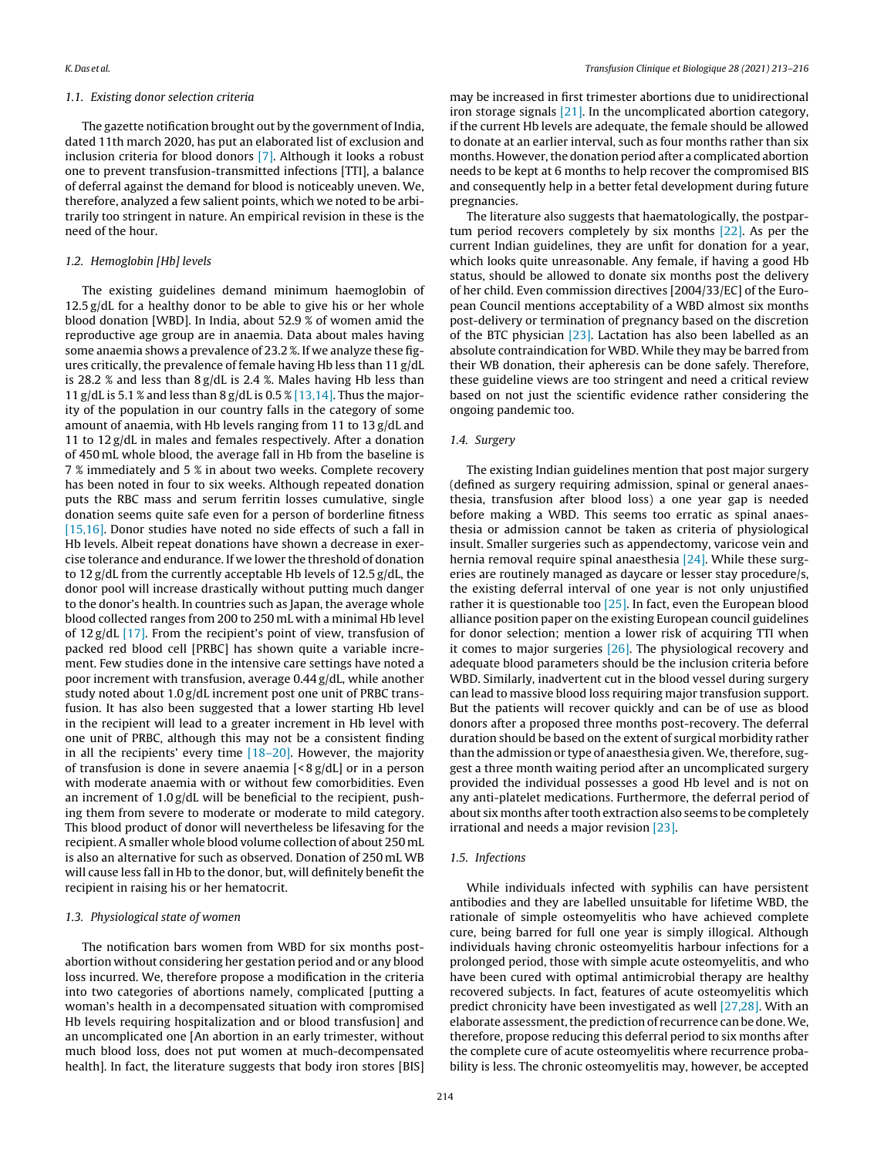### 1.1. Existing donor selection criteria

The gazette notification brought out by the government of India, dated 11th march 2020, has put an elaborated list of exclusion and inclusion criteria for blood donors [\[7\].](#page-3-0) Although it looks a robust one to prevent transfusion-transmitted infections [TTI], a balance of deferral against the demand for blood is noticeably uneven. We, therefore, analyzed a few salient points, which we noted to be arbitrarily too stringent in nature. An empirical revision in these is the need of the hour.

# 1.2. Hemoglobin [Hb] levels

The existing guidelines demand minimum haemoglobin of 12.5 g/dL for a healthy donor to be able to give his or her whole blood donation [WBD]. In India, about 52.9 % of women amid the reproductive age group are in anaemia. Data about males having some anaemia shows a prevalence of 23.2 %. If we analyze these figures critically, the prevalence of female having Hb less than 11 g/dL is 28.2 % and less than 8 g/dL is 2.4 %. Males having Hb less than 11 g/dL is 5.1 % and less than 8 g/dL is  $0.5\%$  [\[13,14\].](#page-3-0) Thus the majority of the population in our country falls in the category of some amount of anaemia, with Hb levels ranging from 11 to 13 g/dL and 11 to 12 g/dL in males and females respectively. After a donation of 450 mL whole blood, the average fall in Hb from the baseline is 7 % immediately and 5 % in about two weeks. Complete recovery has been noted in four to six weeks. Although repeated donation puts the RBC mass and serum ferritin losses cumulative, single donation seems quite safe even for a person of borderline fitness [\[15,16\].](#page-3-0) Donor studies have noted no side effects of such a fall in Hb levels. Albeit repeat donations have shown a decrease in exercise tolerance and endurance. If we lower the threshold of donation to 12 g/dL from the currently acceptable Hb levels of 12.5 g/dL, the donor pool will increase drastically without putting much danger to the donor's health. In countries such as Japan, the average whole blood collected ranges from 200 to 250 mL with a minimal Hb level of 12 g/dL [\[17\].](#page-3-0) From the recipient's point of view, transfusion of packed red blood cell [PRBC] has shown quite a variable increment. Few studies done in the intensive care settings have noted a poor increment with transfusion, average 0.44 g/dL, while another study noted about 1.0 g/dL increment post one unit of PRBC transfusion. It has also been suggested that a lower starting Hb level in the recipient will lead to a greater increment in Hb level with one unit of PRBC, although this may not be a consistent finding in all the recipients' every time  $[18–20]$ . However, the majority of transfusion is done in severe anaemia [< 8 g/dL] or in a person with moderate anaemia with or without few comorbidities. Even an increment of 1.0 g/dL will be beneficial to the recipient, pushing them from severe to moderate or moderate to mild category. This blood product of donor will nevertheless be lifesaving for the recipient. A smaller whole blood volume collection of about 250 mL is also an alternative for such as observed. Donation of 250 mL WB will cause less fall in Hb to the donor, but, will definitely benefit the recipient in raising his or her hematocrit.

# 1.3. Physiological state of women

The notification bars women from WBD for six months postabortion without considering her gestation period and or any blood loss incurred. We, therefore propose a modification in the criteria into two categories of abortions namely, complicated [putting a woman's health in a decompensated situation with compromised Hb levels requiring hospitalization and or blood transfusion] and an uncomplicated one [An abortion in an early trimester, without much blood loss, does not put women at much-decompensated health]. In fact, the literature suggests that body iron stores [BIS]

may be increased in first trimester abortions due to unidirectional iron storage signals [\[21\].](#page-3-0) In the uncomplicated abortion category, if the current Hb levels are adequate, the female should be allowed to donate at an earlier interval, such as four months rather than six months. However, the donation period after a complicated abortion needs to be kept at 6 months to help recover the compromised BIS and consequently help in a better fetal development during future pregnancies.

The literature also suggests that haematologically, the postpartum period recovers completely by six months [\[22\].](#page-3-0) As per the current Indian guidelines, they are unfit for donation for a year, which looks quite unreasonable. Any female, if having a good Hb status, should be allowed to donate six months post the delivery of her child. Even commission directives [2004/33/EC] of the European Council mentions acceptability of a WBD almost six months post-delivery or termination of pregnancy based on the discretion of the BTC physician [\[23\].](#page-3-0) Lactation has also been labelled as an absolute contraindication for WBD. While they may be barred from their WB donation, their apheresis can be done safely. Therefore, these guideline views are too stringent and need a critical review based on not just the scientific evidence rather considering the ongoing pandemic too.

#### 1.4. Surgery

The existing Indian guidelines mention that post major surgery (defined as surgery requiring admission, spinal or general anaesthesia, transfusion after blood loss) a one year gap is needed before making a WBD. This seems too erratic as spinal anaesthesia or admission cannot be taken as criteria of physiological insult. Smaller surgeries such as appendectomy, varicose vein and hernia removal require spinal anaesthesia [\[24\].](#page-3-0) While these surgeries are routinely managed as daycare or lesser stay procedure/s, the existing deferral interval of one year is not only unjustified rather it is questionable too  $[25]$ . In fact, even the European blood alliance position paper on the existing European council guidelines for donor selection; mention a lower risk of acquiring TTI when it comes to major surgeries [\[26\].](#page-3-0) The physiological recovery and adequate blood parameters should be the inclusion criteria before WBD. Similarly, inadvertent cut in the blood vessel during surgery can lead to massive blood loss requiring major transfusion support. But the patients will recover quickly and can be of use as blood donors after a proposed three months post-recovery. The deferral duration should be based on the extent of surgical morbidity rather than the admission or type of anaesthesia given. We, therefore, suggest a three month waiting period after an uncomplicated surgery provided the individual possesses a good Hb level and is not on any anti-platelet medications. Furthermore, the deferral period of about six months after tooth extraction also seems to be completely irrational and needs a major revision [\[23\].](#page-3-0)

# 1.5. Infections

While individuals infected with syphilis can have persistent antibodies and they are labelled unsuitable for lifetime WBD, the rationale of simple osteomyelitis who have achieved complete cure, being barred for full one year is simply illogical. Although individuals having chronic osteomyelitis harbour infections for a prolonged period, those with simple acute osteomyelitis, and who have been cured with optimal antimicrobial therapy are healthy recovered subjects. In fact, features of acute osteomyelitis which predict chronicity have been investigated as well [\[27,28\].](#page-3-0) With an elaborate assessment, the prediction of recurrence can be done. We, therefore, propose reducing this deferral period to six months after the complete cure of acute osteomyelitis where recurrence probability is less. The chronic osteomyelitis may, however, be accepted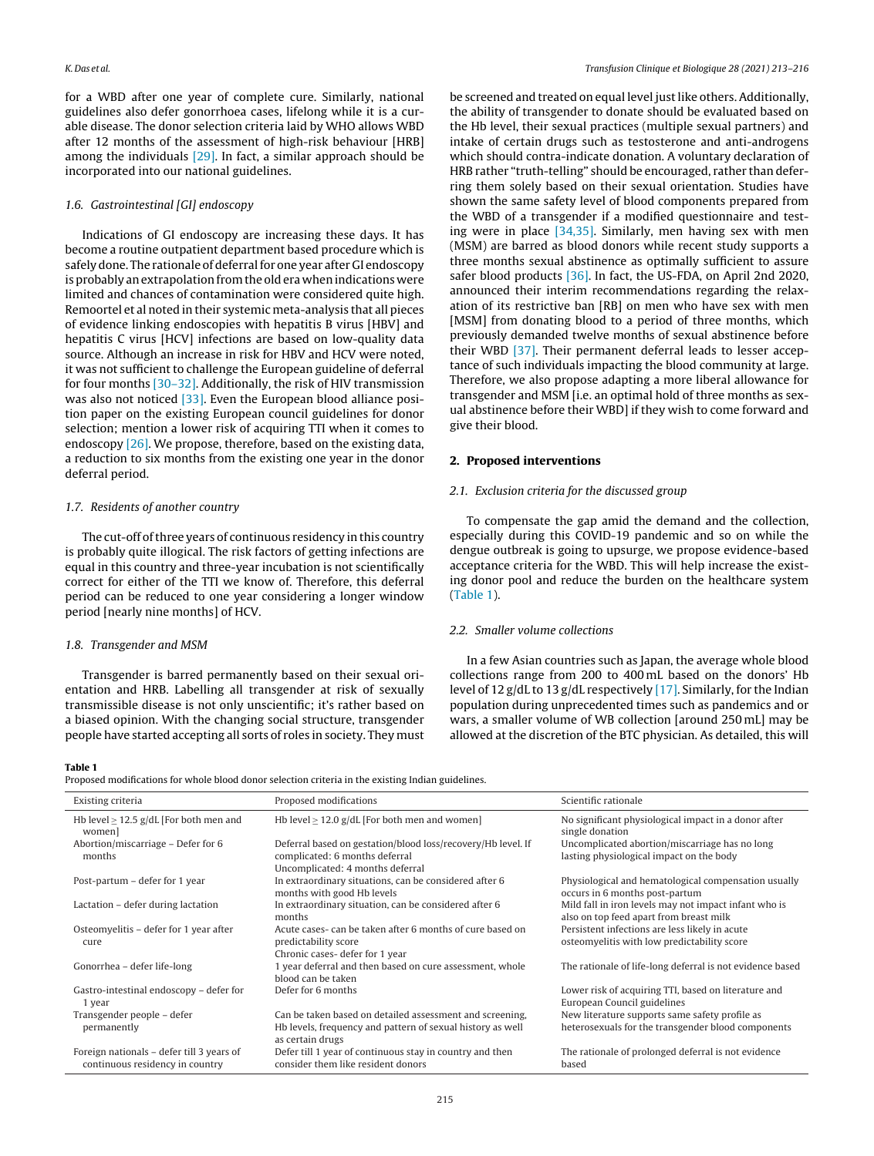for a WBD after one year of complete cure. Similarly, national guidelines also defer gonorrhoea cases, lifelong while it is a curable disease. The donor selection criteria laid by WHO allows WBD after 12 months of the assessment of high-risk behaviour [HRB] among the individuals  $[29]$ . In fact, a similar approach should be incorporated into our national guidelines.

# 1.6. Gastrointestinal [GI] endoscopy

Indications of GI endoscopy are increasing these days. It has become a routine outpatient department based procedure which is safely done. The rationale of deferral for one year after GI endoscopy is probably an extrapolation from the old era when indications were limited and chances of contamination were considered quite high. Remoortel et al noted in their systemic meta-analysis that all pieces of evidence linking endoscopies with hepatitis B virus [HBV] and hepatitis C virus [HCV] infections are based on low-quality data source. Although an increase in risk for HBV and HCV were noted, it was not sufficient to challenge the European guideline of deferral for four months [\[30–32\].](#page-3-0) Additionally, the risk of HIV transmission was also not noticed [\[33\].](#page-3-0) Even the European blood alliance position paper on the existing European council guidelines for donor selection; mention a lower risk of acquiring TTI when it comes to endoscopy [\[26\].](#page-3-0) We propose, therefore, based on the existing data, a reduction to six months from the existing one year in the donor deferral period.

# 1.7. Residents of another country

The cut-off of three years of continuous residency in this country is probably quite illogical. The risk factors of getting infections are equal in this country and three-year incubation is not scientifically correct for either of the TTI we know of. Therefore, this deferral period can be reduced to one year considering a longer window period [nearly nine months] of HCV.

# 1.8. Transgender and MSM

Transgender is barred permanently based on their sexual orientation and HRB. Labelling all transgender at risk of sexually transmissible disease is not only unscientific; it's rather based on a biased opinion. With the changing social structure, transgender people have started accepting all sorts of roles in society. They must

# K. Das et al. Transfusion Clinique et Biologique 28 (2021) 213–216

be screened and treated on equal level just like others. Additionally, the ability of transgender to donate should be evaluated based on the Hb level, their sexual practices (multiple sexual partners) and intake of certain drugs such as testosterone and anti-androgens which should contra-indicate donation. A voluntary declaration of HRB rather "truth-telling" should be encouraged, rather than deferring them solely based on their sexual orientation. Studies have shown the same safety level of blood components prepared from the WBD of a transgender if a modified questionnaire and testing were in place [\[34,35\].](#page-3-0) Similarly, men having sex with men (MSM) are barred as blood donors while recent study supports a three months sexual abstinence as optimally sufficient to assure safer blood products [\[36\].](#page-3-0) In fact, the US-FDA, on April 2nd 2020, announced their interim recommendations regarding the relaxation of its restrictive ban [RB] on men who have sex with men [MSM] from donating blood to a period of three months, which previously demanded twelve months of sexual abstinence before their WBD [\[37\].](#page-3-0) Their permanent deferral leads to lesser acceptance of such individuals impacting the blood community at large. Therefore, we also propose adapting a more liberal allowance for transgender and MSM [i.e. an optimal hold of three months as sexual abstinence before their WBD] if they wish to come forward and give their blood.

# **2. Proposed interventions**

# 2.1. Exclusion criteria for the discussed group

To compensate the gap amid the demand and the collection, especially during this COVID-19 pandemic and so on while the dengue outbreak is going to upsurge, we propose evidence-based acceptance criteria for the WBD. This will help increase the existing donor pool and reduce the burden on the healthcare system (Table 1).

# 2.2. Smaller volume collections

In a few Asian countries such as Japan, the average whole blood collections range from 200 to 400 mL based on the donors' Hb level of 12 g/dL to 13 g/dL respectively [\[17\].](#page-3-0) Similarly, for the Indian population during unprecedented times such as pandemics and or wars, a smaller volume of WB collection [around 250 mL] may be allowed at the discretion of the BTC physician. As detailed, this will

#### **Table 1**

Proposed modifications for whole blood donor selection criteria in the existing Indian guidelines.

| Existing criteria                                                            | Proposed modifications                                                                                                                     | Scientific rationale                                                                                 |
|------------------------------------------------------------------------------|--------------------------------------------------------------------------------------------------------------------------------------------|------------------------------------------------------------------------------------------------------|
| Hb level $\geq$ 12.5 g/dL [For both men and<br>women                         | Hb level $> 12.0$ g/dL [For both men and women]                                                                                            | No significant physiological impact in a donor after<br>single donation                              |
| Abortion/miscarriage - Defer for 6<br>months                                 | Deferral based on gestation/blood loss/recovery/Hb level. If<br>complicated: 6 months deferral<br>Uncomplicated: 4 months deferral         | Uncomplicated abortion/miscarriage has no long<br>lasting physiological impact on the body           |
| Post-partum – defer for 1 year                                               | In extraordinary situations, can be considered after 6<br>months with good Hb levels                                                       | Physiological and hematological compensation usually<br>occurs in 6 months post-partum               |
| Lactation - defer during lactation                                           | In extraordinary situation, can be considered after 6<br>months                                                                            | Mild fall in iron levels may not impact infant who is<br>also on top feed apart from breast milk     |
| Osteomyelitis - defer for 1 year after<br>cure                               | Acute cases-can be taken after 6 months of cure based on<br>predictability score<br>Chronic cases-defer for 1 year                         | Persistent infections are less likely in acute<br>osteomyelitis with low predictability score        |
| Gonorrhea - defer life-long                                                  | 1 year deferral and then based on cure assessment, whole<br>blood can be taken                                                             | The rationale of life-long deferral is not evidence based                                            |
| Gastro-intestinal endoscopy - defer for<br>1 year                            | Defer for 6 months                                                                                                                         | Lower risk of acquiring TTI, based on literature and<br>European Council guidelines                  |
| Transgender people - defer<br>permanently                                    | Can be taken based on detailed assessment and screening,<br>Hb levels, frequency and pattern of sexual history as well<br>as certain drugs | New literature supports same safety profile as<br>heterosexuals for the transgender blood components |
| Foreign nationals – defer till 3 years of<br>continuous residency in country | Defer till 1 year of continuous stay in country and then<br>consider them like resident donors                                             | The rationale of prolonged deferral is not evidence<br>based                                         |